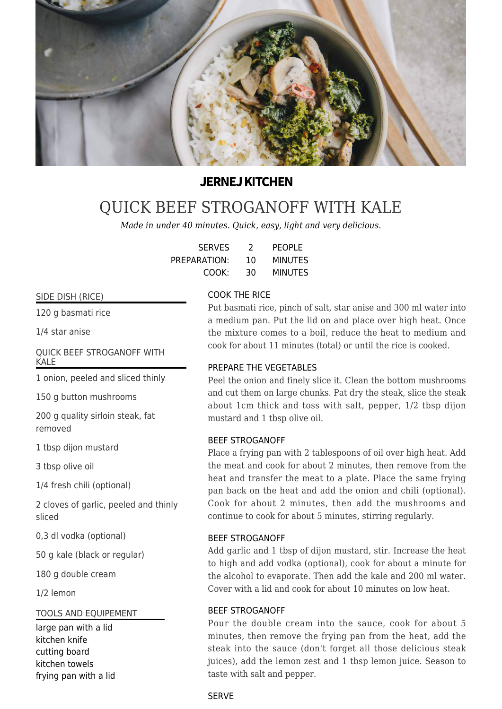

## **JERNEJ KITCHEN**

# [QUICK BEEF STROGANOFF WITH KALE](https://jernejkitchen.com/recipes/beef/quick-beef-stroganoff-kale)

*Made in under 40 minutes. Quick, easy, light and very delicious.*

| <b>SERVES</b> | 2  | <b>PEOPLE</b>  |
|---------------|----|----------------|
| PREPARATION:  | 10 | <b>MINUTES</b> |
| COOK:         | 30 | <b>MINUTES</b> |

## SIDE DISH (RICE)

120 g basmati rice

1/4 star anise

## QUICK BEEF STROGANOFF WITH KALE

1 onion, peeled and sliced thinly

150 g button mushrooms

200 g quality sirloin steak, fat removed

1 tbsp dijon mustard

3 tbsp olive oil

1/4 fresh chili (optional)

2 cloves of garlic, peeled and thinly sliced

0,3 dl vodka (optional)

50 g kale (black or regular)

180 g double cream

1/2 lemon

#### TOOLS AND EQUIPEMENT

large pan with a lid kitchen knife cutting board kitchen towels frying pan with a lid

## COOK THE RICE

Put basmati rice, pinch of salt, star anise and 300 ml water into a medium pan. Put the lid on and place over high heat. Once the mixture comes to a boil, reduce the heat to medium and cook for about 11 minutes (total) or until the rice is cooked.

## PREPARE THE VEGETABLES

Peel the onion and finely slice it. Clean the bottom mushrooms and cut them on large chunks. Pat dry the steak, slice the steak about 1cm thick and toss with salt, pepper, 1/2 tbsp dijon mustard and 1 tbsp olive oil.

#### BEEF STROGANOFF

Place a frying pan with 2 tablespoons of oil over high heat. Add the meat and cook for about 2 minutes, then remove from the heat and transfer the meat to a plate. Place the same frying pan back on the heat and add the onion and chili (optional). Cook for about 2 minutes, then add the mushrooms and continue to cook for about 5 minutes, stirring regularly.

#### BEEF STROGANOFF

Add garlic and 1 tbsp of dijon mustard, stir. Increase the heat to high and add vodka (optional), cook for about a minute for the alcohol to evaporate. Then add the kale and 200 ml water. Cover with a lid and cook for about 10 minutes on low heat.

## BEEF STROGANOFF

Pour the double cream into the sauce, cook for about 5 minutes, then remove the frying pan from the heat, add the steak into the sauce (don't forget all those delicious steak juices), add the lemon zest and 1 tbsp lemon juice. Season to taste with salt and pepper.